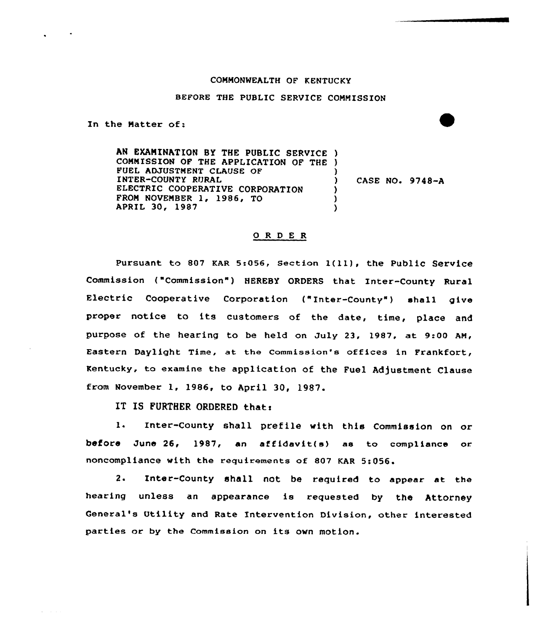## COMMONMEALTH OF KENTUCKY

## BEFORE THE PUBLIC SERVICE COMMISSION

In the Matter of:

 $\omega_{\rm{eff}}=1.0\pm0.1$ 

AN EXAMINATION BY THE PUBLIC SERVICE ) COMMISSION OF THE APPLICATION OF THE ) FUEL ADJUSTMENT CLAUSE OF INTER-COUNTY RURAL ELECTRIC COOPERATIVE CORPORATION FROM NOVEMBER 1, 1986, TO APRIL 30, 1987 ) ) CASE NO. 9748-A ) ) )

## ORDER

Pursuant to 807 KAR 5:056, Section 1(11), the Public Service Commission ("Commission") HEREBY ORDERS that Inter-County Rural Electric Cooperative Corporation ("Inter-County") shall give proper notice to its customers of the date, time, place and purpose of the hearing to be held on July 23, 1987, at 9:00 AM, Eastern Daylight Time, at the commission's offices in Frankfort, Kentucky, to examine the application of the Fuel Adjustment Clause from November 1, 1986, to April 30, 1987.

IT IS FURTHER ORDERED thats

l. Inter-County shall prefile with this Commission on or before June 26, 1987, an affidavit(s) as to compliance or. noncompliance with the requirements of 807 KAR 5:056.

2. Inter-County shall not be required to appear at the hearing unless an appearance is requested by the Attorney General's Utility and Rate Intervention Division, other interested parties or by the Commission on its own motion.